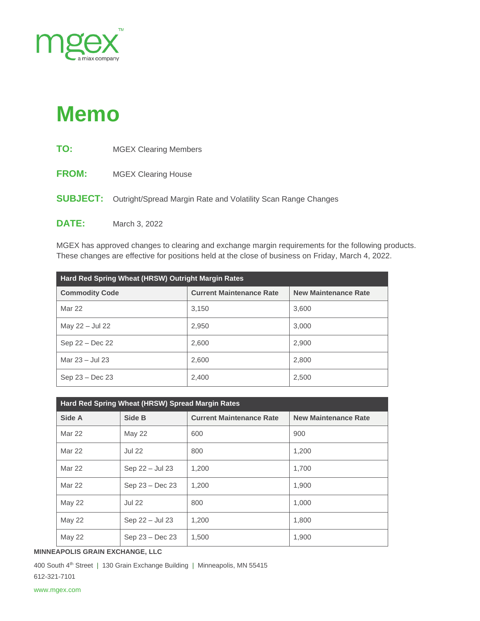

## **Memo**

| TO:          | <b>MGEX Clearing Members</b>                                                  |
|--------------|-------------------------------------------------------------------------------|
| <b>FROM:</b> | <b>MGEX Clearing House</b>                                                    |
|              | <b>SUBJECT:</b> Outright/Spread Margin Rate and Volatility Scan Range Changes |
| <b>DATE:</b> | March 3, 2022                                                                 |

MGEX has approved changes to clearing and exchange margin requirements for the following products. These changes are effective for positions held at the close of business on Friday, March 4, 2022.

| Hard Red Spring Wheat (HRSW) Outright Margin Rates |                                 |                             |  |  |  |
|----------------------------------------------------|---------------------------------|-----------------------------|--|--|--|
| <b>Commodity Code</b>                              | <b>Current Maintenance Rate</b> | <b>New Maintenance Rate</b> |  |  |  |
| Mar 22                                             | 3,150                           | 3,600                       |  |  |  |
| May 22 - Jul 22                                    | 2,950                           | 3.000                       |  |  |  |
| Sep 22 - Dec 22                                    | 2,600                           | 2,900                       |  |  |  |
| Mar $23 -$ Jul $23$                                | 2,600                           | 2.800                       |  |  |  |
| $Sep 23 - Dec 23$                                  | 2,400                           | 2,500                       |  |  |  |

| Hard Red Spring Wheat (HRSW) Spread Margin Rates |                 |                                 |                             |  |  |
|--------------------------------------------------|-----------------|---------------------------------|-----------------------------|--|--|
| Side A                                           | Side B          | <b>Current Maintenance Rate</b> | <b>New Maintenance Rate</b> |  |  |
| <b>Mar 22</b>                                    | <b>May 22</b>   | 600                             | 900                         |  |  |
| Mar 22                                           | <b>Jul 22</b>   | 800                             | 1.200                       |  |  |
| <b>Mar 22</b>                                    | Sep 22 - Jul 23 | 1.200                           | 1.700                       |  |  |
| <b>Mar 22</b>                                    | Sep 23 - Dec 23 | 1.200                           | 1,900                       |  |  |
| <b>May 22</b>                                    | <b>Jul 22</b>   | 800                             | 1,000                       |  |  |
| <b>May 22</b>                                    | Sep 22 - Jul 23 | 1,200                           | 1,800                       |  |  |
| <b>May 22</b>                                    | Sep 23 - Dec 23 | 1,500                           | 1,900                       |  |  |

**MINNEAPOLIS GRAIN EXCHANGE, LLC**

400 South 4<sup>th</sup> Street | 130 Grain Exchange Building | Minneapolis, MN 55415 612-321-7101